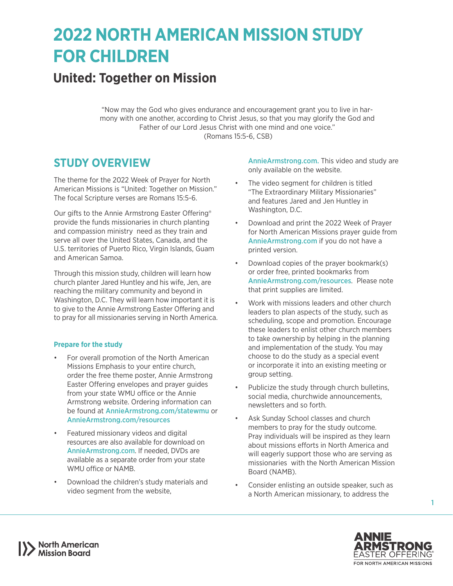# **2022 NORTH AMERICAN MISSION STUDY FOR CHILDREN**

# **United: Together on Mission**

"Now may the God who gives endurance and encouragement grant you to live in harmony with one another, according to Christ Jesus, so that you may glorify the God and Father of our Lord Jesus Christ with one mind and one voice." (Romans 15:5-6, CSB)

### **STUDY OVERVIEW**

The theme for the 2022 Week of Prayer for North American Missions is "United: Together on Mission." The focal Scripture verses are Romans 15:5-6.

Our gifts to the Annie Armstrong Easter Offering® provide the funds missionaries in church planting and compassion ministry need as they train and serve all over the United States, Canada, and the U.S. territories of Puerto Rico, Virgin Islands, Guam and American Samoa.

Through this mission study, children will learn how church planter Jared Huntley and his wife, Jen, are reaching the military community and beyond in Washington, D.C. They will learn how important it is to give to the Annie Armstrong Easter Offering and to pray for all missionaries serving in North America.

#### **Prepare for the study**

- For overall promotion of the North American Missions Emphasis to your entire church, order the free theme poster, Annie Armstrong Easter Offering envelopes and prayer guides from your state WMU office or the Annie Armstrong website. Ordering information can be found at [AnnieArmstrong.com/statewmu](http://AnnieArmstrong.com/statewmu) or [AnnieArmstrong.com/resources](http://AnnieArmstrong.com/resources)
- Featured missionary videos and digital resources are also available for download on [AnnieArmstrong.com](http://AnnieArmstrong.com). If needed, DVDs are available as a separate order from your state WMU office or NAMB.
- Download the children's study materials and video segment from the website,

Annie Armstrong.com. This video and study are only available on the website.

- The video segment for children is titled "The Extraordinary Military Missionaries" and features Jared and Jen Huntley in Washington, D.C.
- Download and print the 2022 Week of Prayer for North American Missions prayer guide from [AnnieArmstrong.com](http://AnnieArmstrong.com) if you do not have a printed version.
- Download copies of the prayer bookmark(s) or order free, printed bookmarks from [AnnieArmstrong.com/resources](http://AnnieArmstrong.com/resources). Please note that print supplies are limited.
- Work with missions leaders and other church leaders to plan aspects of the study, such as scheduling, scope and promotion. Encourage these leaders to enlist other church members to take ownership by helping in the planning and implementation of the study. You may choose to do the study as a special event or incorporate it into an existing meeting or group setting.
- Publicize the study through church bulletins, social media, churchwide announcements, newsletters and so forth.
- Ask Sunday School classes and church members to pray for the study outcome. Pray individuals will be inspired as they learn about missions efforts in North America and will eagerly support those who are serving as missionaries with the North American Mission Board (NAMB).
- Consider enlisting an outside speaker, such as a North American missionary, to address the



1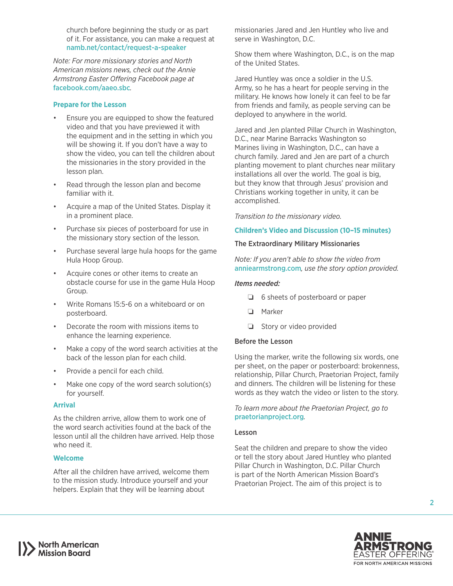church before beginning the study or as part of it. For assistance, you can make a request at [namb.net/contact/request-a-speaker](https://www.namb.net/contact/request-a-speaker) 

*Note: For more missionary stories and North American missions news, check out the Annie Armstrong Easter Offering Facebook page at*  [facebook.com/aaeo.sbc](http://facebook.com/aaeo.sbc)*.*

#### **Prepare for the Lesson**

- Ensure you are equipped to show the featured video and that you have previewed it with the equipment and in the setting in which you will be showing it. If you don't have a way to show the video, you can tell the children about the missionaries in the story provided in the lesson plan.
- Read through the lesson plan and become familiar with it.
- Acquire a map of the United States. Display it in a prominent place.
- Purchase six pieces of posterboard for use in the missionary story section of the lesson.
- Purchase several large hula hoops for the game Hula Hoop Group.
- Acquire cones or other items to create an obstacle course for use in the game Hula Hoop Group.
- Write Romans 15:5-6 on a whiteboard or on posterboard.
- Decorate the room with missions items to enhance the learning experience.
- Make a copy of the word search activities at the back of the lesson plan for each child.
- Provide a pencil for each child.
- Make one copy of the word search solution(s) for yourself.

#### **Arrival**

As the children arrive, allow them to work one of the word search activities found at the back of the lesson until all the children have arrived. Help those who need it.

#### **Welcome**

After all the children have arrived, welcome them to the mission study. Introduce yourself and your helpers. Explain that they will be learning about

missionaries Jared and Jen Huntley who live and serve in Washington, D.C.

Show them where Washington, D.C., is on the map of the United States.

Jared Huntley was once a soldier in the U.S. Army, so he has a heart for people serving in the military. He knows how lonely it can feel to be far from friends and family, as people serving can be deployed to anywhere in the world.

Jared and Jen planted Pillar Church in Washington, D.C., near Marine Barracks Washington so Marines living in Washington, D.C., can have a church family. Jared and Jen are part of a church planting movement to plant churches near military installations all over the world. The goal is big, but they know that through Jesus' provision and Christians working together in unity, it can be accomplished.

*Transition to the missionary video.*

#### **Children's Video and Discussion (10–15 minutes)**

#### The Extraordinary Military Missionaries

*Note: If you aren't able to show the video from*  [anniearmstrong.com](http://anniearmstrong.com)*, use the story option provided.*

#### *Items needed:*

- ❏ 6 sheets of posterboard or paper
- ❏ Marker
- ❏ Story or video provided

#### Before the Lesson

Using the marker, write the following six words, one per sheet, on the paper or posterboard: brokenness, relationship, Pillar Church, Praetorian Project, family and dinners. The children will be listening for these words as they watch the video or listen to the story.

#### *To learn more about the Praetorian Project, go to*  [praetorianproject.org](http://praetorianproject.org)*.*

#### Lesson

Seat the children and prepare to show the video or tell the story about Jared Huntley who planted Pillar Church in Washington, D.C. Pillar Church is part of the North American Mission Board's Praetorian Project. The aim of this project is to



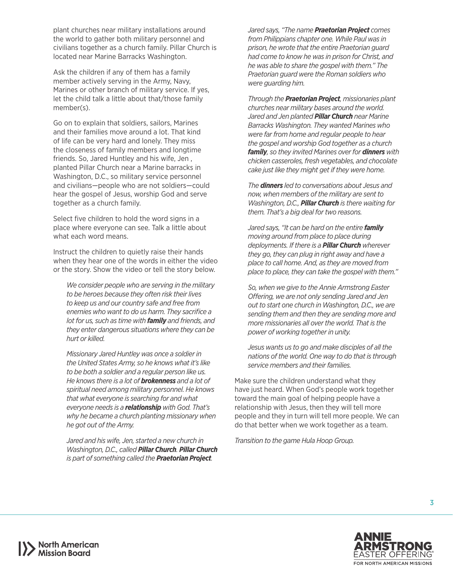plant churches near military installations around the world to gather both military personnel and civilians together as a church family. Pillar Church is located near Marine Barracks Washington.

Ask the children if any of them has a family member actively serving in the Army, Navy, Marines or other branch of military service. If yes, let the child talk a little about that/those family member(s).

Go on to explain that soldiers, sailors, Marines and their families move around a lot. That kind of life can be very hard and lonely. They miss the closeness of family members and longtime friends. So, Jared Huntley and his wife, Jen , planted Pillar Church near a Marine barracks in Washington, D.C., so military service personnel and civilians—people who are not soldiers—could hear the gospel of Jesus, worship God and serve together as a church family.

Select five children to hold the word signs in a place where everyone can see. Talk a little about what each word means.

Instruct the children to quietly raise their hands when they hear one of the words in either the video or the story. Show the video or tell the story below.

*We consider people who are serving in the military to be heroes because they often risk their lives to keep us and our country safe and free from enemies who want to do us harm. They sacrifice a lot for us, such as time with family and friends, and they enter dangerous situations where they can be hurt or killed.*

*Missionary Jared Huntley was once a soldier in the United States Army, so he knows what it's like to be both a soldier and a regular person like us. He knows there is a lot of brokenness and a lot of spiritual need among military personnel. He knows that what everyone is searching for and what everyone needs is a relationship with God. That's why he became a church planting missionary when he got out of the Army.*

*Jared and his wife, Jen, started a new church in Washington, D.C., called Pillar Church. Pillar Church is part of something called the Praetorian Project.* 

*Jared says, "The name Praetorian Project comes from Philippians chapter one. While Paul was in prison, he wrote that the entire Praetorian guard had come to know he was in prison for Christ, and he was able to share the gospel with them." The Praetorian guard were the Roman soldiers who were guarding him.*

*Through the Praetorian Project, missionaries plant churches near military bases around the world. Jared and Jen planted Pillar Church near Marine Barracks Washington. They wanted Marines who were far from home and regular people to hear the gospel and worship God together as a church family, so they invited Marines over for dinners with chicken casseroles, fresh vegetables, and chocolate cake just like they might get if they were home.* 

*The dinners led to conversations about Jesus and now, when members of the military are sent to Washington, D.C., Pillar Church is there waiting for them. That's a big deal for two reasons.*

*Jared says, "It can be hard on the entire family moving around from place to place during deployments. If there is a Pillar Church wherever they go, they can plug in right away and have a place to call home. And, as they are moved from place to place, they can take the gospel with them."*

*So, when we give to the Annie Armstrong Easter Offering, we are not only sending Jared and Jen out to start one church in Washington, D.C., we are sending them and then they are sending more and more missionaries all over the world. That is the power of working together in unity.*

*Jesus wants us to go and make disciples of all the nations of the world. One way to do that is through service members and their families.*

Make sure the children understand what they have just heard. When God's people work together toward the main goal of helping people have a relationship with Jesus, then they will tell more people and they in turn will tell more people. We can do that better when we work together as a team.

*Transition to the game Hula Hoop Group.*

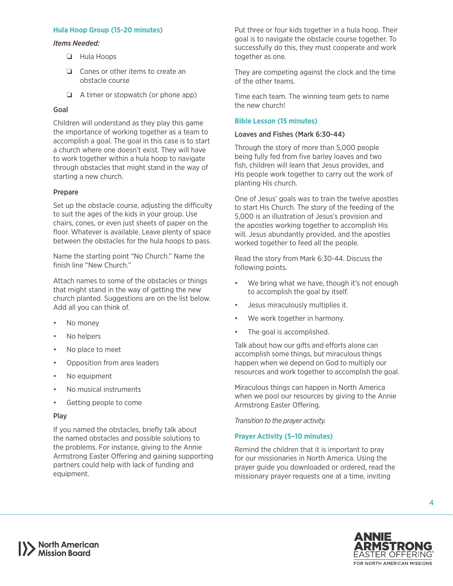#### **Hula Hoop Group (15-20 minutes)**

#### *Items Needed:*

- ❏ Hula Hoops
- ❏ Cones or other items to create an obstacle course
- ❏ A timer or stopwatch (or phone app)

#### Goal

Children will understand as they play this game the importance of working together as a team to accomplish a goal. The goal in this case is to start a church where one doesn't exist. They will have to work together within a hula hoop to navigate through obstacles that might stand in the way of starting a new church.

#### Prepare

Set up the obstacle course, adjusting the difficulty to suit the ages of the kids in your group. Use chairs, cones, or even just sheets of paper on the floor. Whatever is available. Leave plenty of space between the obstacles for the hula hoops to pass.

Name the starting point "No Church." Name the finish line "New Church."

Attach names to some of the obstacles or things that might stand in the way of getting the new church planted. Suggestions are on the list below. Add all you can think of.

- No money
- No helpers
- No place to meet
- Opposition from area leaders
- No equipment
- No musical instruments
- Getting people to come

#### Play

If you named the obstacles, briefly talk about the named obstacles and possible solutions to the problems. For instance, giving to the Annie Armstrong Easter Offering and gaining supporting partners could help with lack of funding and equipment.

Put three or four kids together in a hula hoop. Their goal is to navigate the obstacle course together. To successfully do this, they must cooperate and work together as one.

They are competing against the clock and the time of the other teams.

Time each team. The winning team gets to name the new church!

#### **Bible Lesson (15 minutes)**

#### Loaves and Fishes (Mark 6:30-44)

Through the story of more than 5,000 people being fully fed from five barley loaves and two fish, children will learn that Jesus provides, and His people work together to carry out the work of planting His church.

One of Jesus' goals was to train the twelve apostles to start His Church. The story of the feeding of the 5,000 is an illustration of Jesus's provision and the apostles working together to accomplish His will. Jesus abundantly provided, and the apostles worked together to feed all the people.

Read the story from Mark 6:30-44. Discuss the following points.

- We bring what we have, though it's not enough to accomplish the goal by itself.
- Jesus miraculously multiplies it.
- We work together in harmony.
- The goal is accomplished.

Talk about how our gifts and efforts alone can accomplish some things, but miraculous things happen when we depend on God to multiply our resources and work together to accomplish the goal.

Miraculous things can happen in North America when we pool our resources by giving to the Annie Armstrong Easter Offering.

*Transition to the prayer activity.*

#### **Prayer Activity (5–10 minutes)**

Remind the children that it is important to pray for our missionaries in North America. Using the prayer guide you downloaded or ordered, read the missionary prayer requests one at a time, inviting

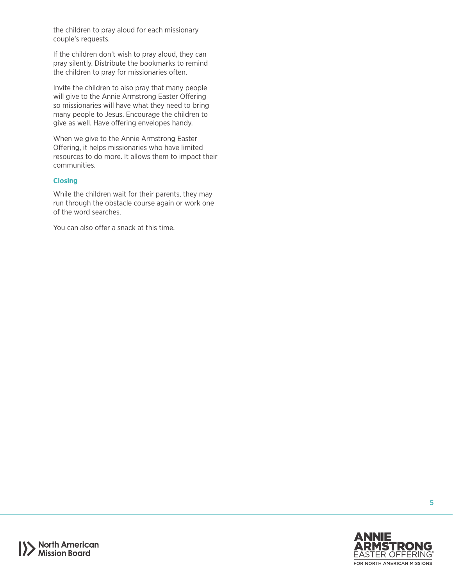the children to pray aloud for each missionary couple's requests.

If the children don't wish to pray aloud, they can pray silently. Distribute the bookmarks to remind the children to pray for missionaries often.

Invite the children to also pray that many people will give to the Annie Armstrong Easter Offering so missionaries will have what they need to bring many people to Jesus. Encourage the children to give as well. Have offering envelopes handy.

When we give to the Annie Armstrong Easter Offering, it helps missionaries who have limited resources to do more. It allows them to impact their communities.

#### **Closing**

While the children wait for their parents, they may run through the obstacle course again or work one of the word searches.

You can also offer a snack at this time.



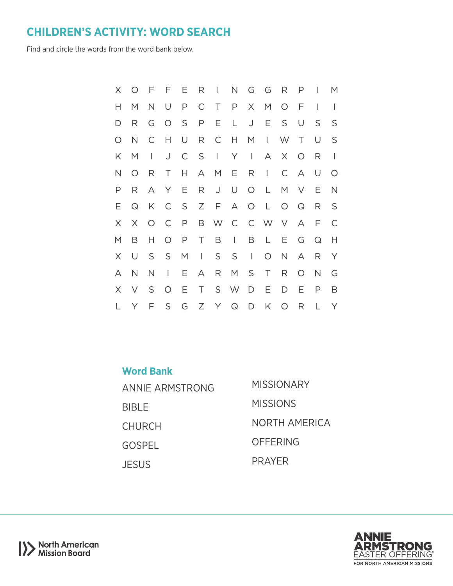## **CHILDREN'S ACTIVITY: WORD SEARCH**

Find and circle the words from the word bank below.

| $\times$ | $\circ$      |              |              |        | F F E R I N G G R P |              |              |                 |              | $\mathbb{R}$ | M              |
|----------|--------------|--------------|--------------|--------|---------------------|--------------|--------------|-----------------|--------------|--------------|----------------|
| Н        | M            | N U          |              |        | P C T P             |              | X M          | $O$ $F$         |              | $\mathbf{I}$ | $\overline{1}$ |
| D        | R            | G            |              |        | OSPEL               |              | J E S        |                 | U            | S            | S              |
| O        | $\mathsf{N}$ | $\mathsf{C}$ | H            | $\cup$ | R C H M             |              | $\Box$ W T   |                 |              | U            | S              |
| K        | M            | $\perp$      | J            |        | C S I Y I           |              | $\mathsf{A}$ | X O             |              | R            | $\mathbf{I}$   |
| N        | $\circ$      |              | R T          |        | H A M E R I         |              |              | $\mathsf{C}$    | $\mathsf{A}$ | U            | $\circ$        |
| P        | R            |              |              |        | A Y E R J U O L     |              |              |                 | M V          | Ε            | $\mathsf{N}$   |
| E.       | $\mathsf{Q}$ |              |              |        | K C S Z F A O L     |              |              |                 | $O$ $Q$      | R            | <sub>S</sub>   |
| X        | $\times$     | $O$ $C$      |              |        | P B W C C W V       |              |              |                 | $\forall$    | $\mathsf{F}$ | $\mathsf{C}$   |
| M        | B            | H.           | $\circ$      |        | P T B I             |              | B L          | $E -$           | G            | $\mathsf{Q}$ | Н              |
| $\times$ | $\cup$       | S            | S M          |        | $\vert$ S S         | $\mathbb{R}$ | $\circ$      | N               | A            | R            | Y              |
| A        | $\mathsf{N}$ | N            | $\mathbf{L}$ |        | E A R M S           |              | T            | $R_{\parallel}$ | $\circ$      | $\mathsf{N}$ | G              |
|          |              |              |              |        |                     |              |              |                 |              |              |                |
| $\times$ | $\vee$       |              | S O          |        | E T S W D E         |              |              | D               | Ε            | P            | B              |

| <b>Word Bank</b> |                      |
|------------------|----------------------|
| ANNIE ARMSTRONG  | MISSIONARY           |
| <b>BIBLE</b>     | <b>MISSIONS</b>      |
| <b>CHURCH</b>    | <b>NORTH AMERICA</b> |
| <b>GOSPEL</b>    | OFFERING             |
| <b>JESUS</b>     | <b>PRAYFR</b>        |

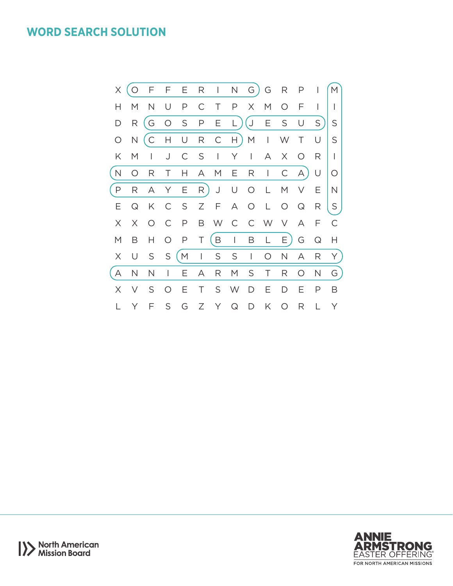### **WORD SEARCH SOLUTION**





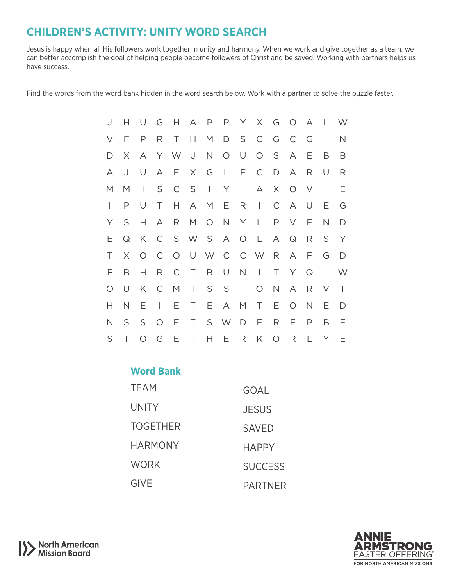# **CHILDREN'S ACTIVITY: UNITY WORD SEARCH**

Jesus is happy when all His followers work together in unity and harmony. When we work and give together as a team, we can better accomplish the goal of helping people become followers of Christ and be saved. Working with partners helps us have success.

Find the words from the word bank hidden in the word search below. Work with a partner to solve the puzzle faster.

| J            | Н            | U         |              |                 |     |          | G H A P P Y |          |                     |             | X G O A   |              |                          | L W                      |
|--------------|--------------|-----------|--------------|-----------------|-----|----------|-------------|----------|---------------------|-------------|-----------|--------------|--------------------------|--------------------------|
| V            | $\mathsf{F}$ | P         |              | R T H           |     |          |             |          | M D S G G C G       |             |           |              | $\overline{\phantom{a}}$ | N                        |
| D            | X.           | $\forall$ |              |                 |     |          |             |          | Y W J N O U O S     |             | A         | $-E$         | B                        | B                        |
| Α            | J            | U         |              | A E             |     |          |             |          | X G L E C D         |             | $\forall$ | R            | U                        | R                        |
| M            | M            | $\perp$   | S            | $\mathbb{C}$    |     | $S \mid$ | Y           | $\sim 1$ | A                   |             | X O       | $\vee$       | $\overline{\phantom{a}}$ | E                        |
| L            | P            | U         | $\top$       | H               |     |          |             |          | AMERI               |             | C A U     |              | Ε                        | G                        |
| Y            | S            | Н.        | $\mathsf{A}$ | $R_{\parallel}$ |     |          |             |          | M O N Y L           | P.          | V E       |              | $\mathsf{N}$             | D                        |
| E.           | $\Omega$     | K         |              |                 |     |          |             |          | C S W S A O L       |             | A Q       | R            | S                        | Y                        |
| Τ            | $\times$     |           |              |                 |     |          |             |          | O C O U W C C W R A |             |           | $-F$         | G                        | $\Box$                   |
| F            | B            | Н         | $R_{\perp}$  |                 |     |          |             |          | C T B U N I         | T           | Y         | $\mathsf{Q}$ | $\perp$                  | W                        |
| $\circ$      | U            | K         |              |                 |     |          | C M I S S I |          | $\circ$             | $N_{\odot}$ | A         | R            | $\vee$                   | $\overline{\phantom{a}}$ |
| H            | $\mathsf{N}$ | E         | $\mathbb{R}$ |                 | E T |          |             |          | E A M T E O N       |             |           |              | Ε                        | D                        |
| $\mathsf{N}$ | S            | S O       |              | E.              |     |          |             |          | T S W D E R         |             | E         | $\mathsf{P}$ | B                        | Ε                        |
| S            | T            |           |              |                 |     |          |             |          | O G E T H E R K O   |             | R         | L            | Y                        | E                        |

### **Word Bank**

| TEAM           | GOAL           |
|----------------|----------------|
| UNITY          | <b>JESUS</b>   |
| TOGETHER       | <b>SAVED</b>   |
| <b>HARMONY</b> | <b>HAPPY</b>   |
| WORK           | <b>SUCCESS</b> |
| <b>GIVE</b>    | <b>PARTNER</b> |